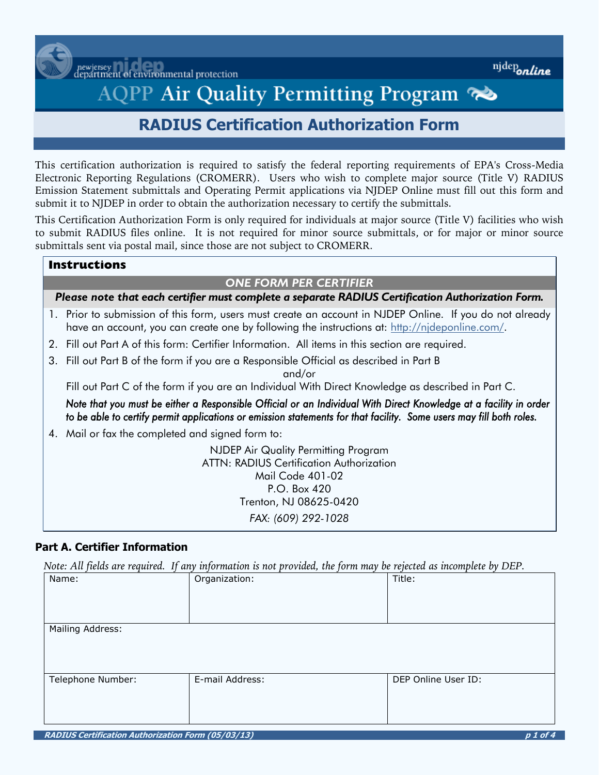newjersey<br>lepartment of environmental protection

# AQPP Air Quality Permitting Program

# **RADIUS Certification Authorization Form**

This certification authorization is required to satisfy the federal reporting requirements of EPA's Cross-Media Electronic Reporting Regulations (CROMERR). Users who wish to complete major source (Title V) RADIUS Emission Statement submittals and Operating Permit applications via NJDEP Online must fill out this form and submit it to NJDEP in order to obtain the authorization necessary to certify the submittals.

This Certification Authorization Form is only required for individuals at major source (Title V) facilities who wish to submit RADIUS files online. It is not required for minor source submittals, or for major or minor source submittals sent via postal mail, since those are not subject to CROMERR.

# **Instructions**

#### *ONE FORM PER CERTIFIER*

*Please note that each certifier must complete a separate RADIUS Certification Authorization Form.*

- 1. Prior to submission of this form, users must create an account in NJDEP Online. If you do not already have an account, you can create one by following the instructions at: [http://njdeponline.com/.](http://njdeponline.com/)
- 2. Fill out Part A of this form: Certifier Information. All items in this section are required.
- 3. Fill out Part B of the form if you are a Responsible Official as described in Part B

and/or

Fill out Part C of the form if you are an Individual With Direct Knowledge as described in Part C.

*Note that you must be either a Responsible Official or an Individual With Direct Knowledge at a facility in order to be able to certify permit applications or emission statements for that facility. Some users may fill both roles.* 

4. Mail or fax the completed and signed form to:

NJDEP Air Quality Permitting Program ATTN: RADIUS Certification Authorization Mail Code 401-02 P.O. Box 420 Trenton, NJ 08625-0420 *FAX: (609) 292-1028*

# **Part A. Certifier Information**

*Note: All fields are required. If any information is not provided, the form may be rejected as incomplete by DEP.* 

|                   |                 | $\overline{\phantom{a}}$ |                     |  |
|-------------------|-----------------|--------------------------|---------------------|--|
| Name:             | Organization:   |                          | Title:              |  |
|                   |                 |                          |                     |  |
|                   |                 |                          |                     |  |
|                   |                 |                          |                     |  |
|                   |                 |                          |                     |  |
|                   |                 |                          |                     |  |
|                   |                 |                          |                     |  |
| Mailing Address:  |                 |                          |                     |  |
|                   |                 |                          |                     |  |
|                   |                 |                          |                     |  |
|                   |                 |                          |                     |  |
|                   |                 |                          |                     |  |
|                   |                 |                          |                     |  |
| Telephone Number: | E-mail Address: |                          | DEP Online User ID: |  |
|                   |                 |                          |                     |  |
|                   |                 |                          |                     |  |
|                   |                 |                          |                     |  |
|                   |                 |                          |                     |  |
|                   |                 |                          |                     |  |
|                   |                 |                          |                     |  |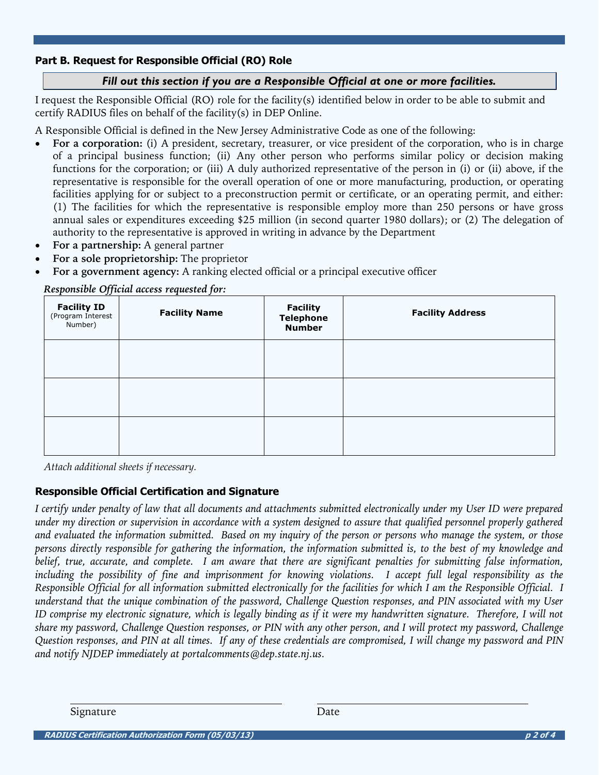#### **Part B. Request for Responsible Official (RO) Role**

#### *Fill out this section if you are a Responsible Official at one or more facilities.*

I request the Responsible Official (RO) role for the facility(s) identified below in order to be able to submit and certify RADIUS files on behalf of the facility(s) in DEP Online.

A Responsible Official is defined in the New Jersey Administrative Code as one of the following:

- **For a corporation:** (i) A president, secretary, treasurer, or vice president of the corporation, who is in charge of a principal business function; (ii) Any other person who performs similar policy or decision making functions for the corporation; or (iii) A duly authorized representative of the person in (i) or (ii) above, if the representative is responsible for the overall operation of one or more manufacturing, production, or operating facilities applying for or subject to a preconstruction permit or certificate, or an operating permit, and either: (1) The facilities for which the representative is responsible employ more than 250 persons or have gross annual sales or expenditures exceeding \$25 million (in second quarter 1980 dollars); or (2) The delegation of authority to the representative is approved in writing in advance by the Department
- **For a partnership:** A general partner
- **For a sole proprietorship:** The proprietor
- **For a government agency:** A ranking elected official or a principal executive officer

| <b>Facility ID</b><br>(Program Interest<br>Number) | <b>Facility Name</b> | <b>Facility</b><br><b>Telephone</b><br><b>Number</b> | <b>Facility Address</b> |
|----------------------------------------------------|----------------------|------------------------------------------------------|-------------------------|
|                                                    |                      |                                                      |                         |
|                                                    |                      |                                                      |                         |
|                                                    |                      |                                                      |                         |

*Responsible Official access requested for:* 

*Attach additional sheets if necessary.* 

#### **Responsible Official Certification and Signature**

*I certify under penalty of law that all documents and attachments submitted electronically under my User ID were prepared under my direction or supervision in accordance with a system designed to assure that qualified personnel properly gathered and evaluated the information submitted. Based on my inquiry of the person or persons who manage the system, or those persons directly responsible for gathering the information, the information submitted is, to the best of my knowledge and belief, true, accurate, and complete. I am aware that there are significant penalties for submitting false information, including the possibility of fine and imprisonment for knowing violations. I accept full legal responsibility as the Responsible Official for all information submitted electronically for the facilities for which I am the Responsible Official. I understand that the unique combination of the password, Challenge Question responses, and PIN associated with my User ID comprise my electronic signature, which is legally binding as if it were my handwritten signature. Therefore, I will not share my password, Challenge Question responses, or PIN with any other person, and I will protect my password, Challenge Question responses, and PIN at all times. If any of these credentials are compromised, I will change my password and PIN and notify NJDEP immediately at portalcomments@dep.state.nj.us.*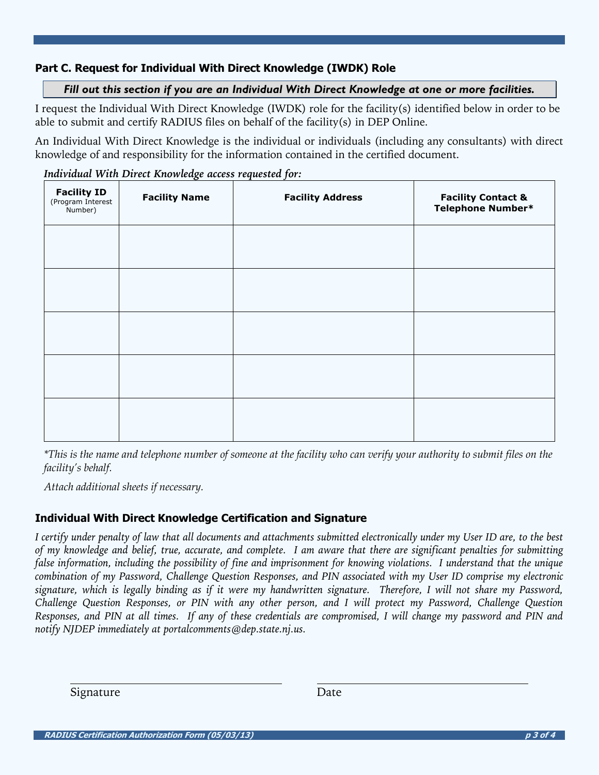# **Part C. Request for Individual With Direct Knowledge (IWDK) Role**

## *Fill out this section if you are an Individual With Direct Knowledge at one or more facilities.*

I request the Individual With Direct Knowledge (IWDK) role for the facility(s) identified below in order to be able to submit and certify RADIUS files on behalf of the facility(s) in DEP Online.

An Individual With Direct Knowledge is the individual or individuals (including any consultants) with direct knowledge of and responsibility for the information contained in the certified document.

| <b>Facility ID</b><br>(Program Interest<br>Number) | <b>Facility Name</b> | <b>Facility Address</b> | <b>Facility Contact &amp; Telephone Number*</b> |
|----------------------------------------------------|----------------------|-------------------------|-------------------------------------------------|
|                                                    |                      |                         |                                                 |
|                                                    |                      |                         |                                                 |
|                                                    |                      |                         |                                                 |
|                                                    |                      |                         |                                                 |
|                                                    |                      |                         |                                                 |

*Individual With Direct Knowledge access requested for:* 

*\*This is the name and telephone number of someone at the facility who can verify your authority to submit files on the facility's behalf.* 

*Attach additional sheets if necessary.* 

## **Individual With Direct Knowledge Certification and Signature**

*I certify under penalty of law that all documents and attachments submitted electronically under my User ID are, to the best of my knowledge and belief, true, accurate, and complete. I am aware that there are significant penalties for submitting false information, including the possibility of fine and imprisonment for knowing violations. I understand that the unique combination of my Password, Challenge Question Responses, and PIN associated with my User ID comprise my electronic signature, which is legally binding as if it were my handwritten signature. Therefore, I will not share my Password, Challenge Question Responses, or PIN with any other person, and I will protect my Password, Challenge Question Responses, and PIN at all times. If any of these credentials are compromised, I will change my password and PIN and notify NJDEP immediately at portalcomments@dep.state.nj.us.*

Signature Date